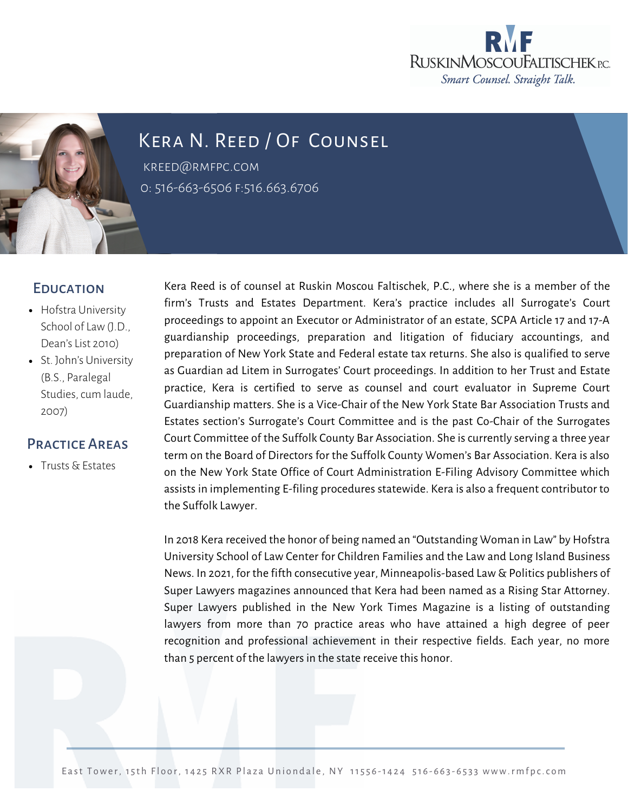



## Kera N. Reed / Of Counsel

kreed@rmfpc.com 0: 516-663-6506 f:516.663.6706

## **EDUCATION**

- Hofstra University School of Law (J.D., Dean's List 2010)
- St. John's University (B.S., Paralegal Studies, cum laude, 2007)

## Practice Areas

**Trusts & Estates** 

Kera Reed is of counsel at Ruskin Moscou Faltischek, P.C., where she is a member of the firm's Trusts and Estates Department. Kera's practice includes all Surrogate's Court proceedings to appoint an Executor or Administrator of an estate, SCPA Article 17 and 17-A guardianship proceedings, preparation and litigation of fiduciary accountings, and preparation of New York State and Federal estate tax returns. She also is qualified to serve as Guardian ad Litem in Surrogates' Court proceedings. In addition to her Trust and Estate practice, Kera is certified to serve as counsel and court evaluator in Supreme Court Guardianship matters. She is a Vice-Chair of the New York State Bar Association Trusts and Estates section's Surrogate's Court Committee and is the past Co-Chair of the Surrogates Court Committee of the Suffolk County Bar Association. She is currently serving a three year term on the Board of Directors for the Suffolk County Women's Bar Association. Kera is also on the New York State Office of Court Administration E-Filing Advisory Committee which assists in implementing E-filing procedures statewide. Kera is also a frequent contributor to the Suffolk Lawyer.

In 2018 Kera received the honor of being named an "Outstanding Woman in Law" by Hofstra University School of Law Center for Children Families and the Law and Long Island Business News. In 2021, for the fifth consecutive year, Minneapolis-based Law & Politics publishers of Super Lawyers magazines announced that Kera had been named as a Rising Star Attorney. Super Lawyers published in the New York Times Magazine is a listing of outstanding lawyers from more than 70 practice areas who have attained a high degree of peer recognition and professional achievement in their respective fields. Each year, no more than 5 percent of the lawyers in the state receive this honor.